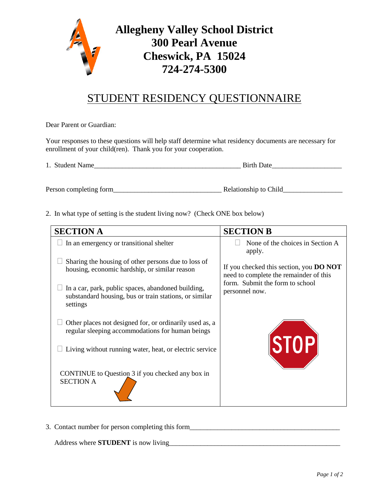

## STUDENT RESIDENCY QUESTIONNAIRE

Dear Parent or Guardian:

Your responses to these questions will help staff determine what residency documents are necessary for enrollment of your child(ren). Thank you for your cooperation.

1. Student Name **Birth Date** 

Person completing form\_\_\_\_\_\_\_\_\_\_\_\_\_\_\_\_\_\_\_\_\_\_\_\_\_\_\_\_\_\_\_ Relationship to Child\_\_\_\_\_\_\_\_\_\_\_\_\_\_\_\_\_

2. In what type of setting is the student living now? (Check ONE box below)

| <b>SECTION A</b>                                                                                                         | <b>SECTION B</b>                                                                         |
|--------------------------------------------------------------------------------------------------------------------------|------------------------------------------------------------------------------------------|
| In an emergency or transitional shelter                                                                                  | None of the choices in Section A<br>apply.                                               |
| Sharing the housing of other persons due to loss of<br>housing, economic hardship, or similar reason                     | If you checked this section, you <b>DO NOT</b><br>need to complete the remainder of this |
| In a car, park, public spaces, abandoned building,<br>substandard housing, bus or train stations, or similar<br>settings | form. Submit the form to school<br>personnel now.                                        |
| Other places not designed for, or ordinarily used as, a<br>regular sleeping accommodations for human beings              |                                                                                          |
| Living without running water, heat, or electric service                                                                  | STOP                                                                                     |
| CONTINUE to Question 3 if you checked any box in<br><b>SECTION A</b>                                                     |                                                                                          |

3. Contact number for person completing this form\_\_\_\_\_\_\_\_\_\_\_\_\_\_\_\_\_\_\_\_\_\_\_\_\_\_\_\_\_\_\_\_

Address where **STUDENT** is now living\_\_\_\_\_\_\_\_\_\_\_\_\_\_\_\_\_\_\_\_\_\_\_\_\_\_\_\_\_\_\_\_\_\_\_\_\_\_\_\_\_\_\_\_\_\_\_\_\_